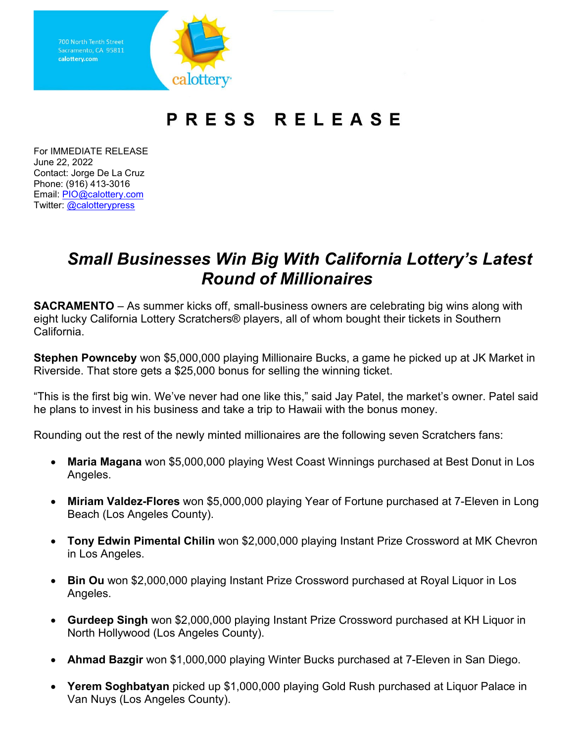Sacramento, CA 95811 calottery.com

## PRESS RELEASE

For IMMEDIATE RELEASE June 22, 2022 Contact: Jorge De La Cruz Phone: (916) 413-3016 Email: [PIO@calottery.com](mailto:PIO@calottery.com) Twitter: [@calotterypress](https://twitter.com/calotterypress)

## *Small Businesses Win Big With California Lottery's Latest Round of Millionaires*

**SACRAMENTO** – As summer kicks off, small-business owners are celebrating big wins along with eight lucky California Lottery Scratchers® players, all of whom bought their tickets in Southern California.

**Stephen Pownceby** won \$5,000,000 playing Millionaire Bucks, a game he picked up at JK Market in Riverside. That store gets a \$25,000 bonus for selling the winning ticket.

"This is the first big win. We've never had one like this," said Jay Patel, the market's owner. Patel said he plans to invest in his business and take a trip to Hawaii with the bonus money.

Rounding out the rest of the newly minted millionaires are the following seven Scratchers fans:

- **Maria Magana** won \$5,000,000 playing West Coast Winnings purchased at Best Donut in Los Angeles.
- **Miriam Valdez-Flores** won \$5,000,000 playing Year of Fortune purchased at 7-Eleven in Long Beach (Los Angeles County).
- **Tony Edwin Pimental Chilin** won \$2,000,000 playing Instant Prize Crossword at MK Chevron in Los Angeles.
- **Bin Ou** won \$2,000,000 playing Instant Prize Crossword purchased at Royal Liquor in Los Angeles.
- **Gurdeep Singh** won \$2,000,000 playing Instant Prize Crossword purchased at KH Liquor in North Hollywood (Los Angeles County).
- **Ahmad Bazgir** won \$1,000,000 playing Winter Bucks purchased at 7-Eleven in San Diego.
- **Yerem Soghbatyan** picked up \$1,000,000 playing Gold Rush purchased at Liquor Palace in Van Nuys (Los Angeles County).